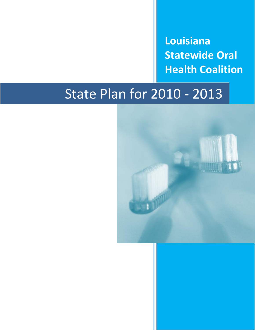**Louisiana Statewide Oral Health Coalition**

# State Plan for 2010 - 2013

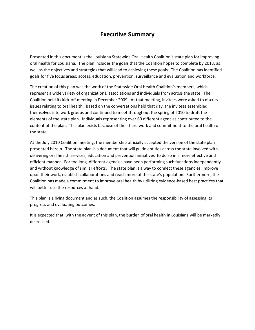## **Executive Summary**

Presented in this document is the Louisiana Statewide Oral Health Coalition's state plan for improving oral health for Louisiana. The plan includes the goals that the Coalition hopes to complete by 2013, as well as the objectives and strategies that will lead to achieving these goals. The Coalition has identified goals for five focus areas: access, education, prevention, surveillance and evaluation and workforce.

The creation of this plan was the work of the Statewide Oral Health Coalition's members, which represent a wide variety of organizations, associations and individuals from across the state. The Coalition held its kick-off meeting in December 2009. At that meeting, invitees were asked to discuss issues relating to oral health. Based on the conversations held that day, the invitees assembled themselves into work groups and continued to meet throughout the spring of 2010 to draft the elements of the state plan. Individuals representing over 60 different agencies contributed to the content of the plan. This plan exists because of their hard work and commitment to the oral health of the state.

At the July 2010 Coalition meeting, the membership officially accepted the version of the state plan presented herein. The state plan is a document that will guide entities across the state involved with delivering oral health services, education and prevention initiatives to do so in a more effective and efficient manner. For too long, different agencies have been performing such functions independently and without knowledge of similar efforts. The state plan is a way to connect these agencies, improve upon their work, establish collaborations and reach more of the state's population. Furthermore, the Coalition has made a commitment to improve oral health by utilizing evidence-based best practices that will better use the resources at hand.

This plan is a living document and as such, the Coalition assumes the responsibility of assessing its progress and evaluating outcomes.

It is expected that, with the advent of this plan, the burden of oral health in Louisiana will be markedly decreased.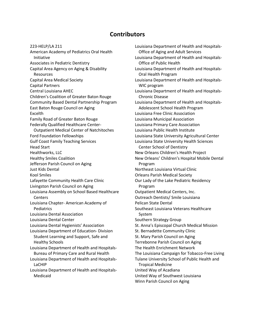#### **Contributors**

223-HELP/LA 211 American Academy of Pediatrics Oral Health Initiative Associates in Pediatric Dentistry Capital Area Agency on Aging & Disability Resources Capital Area Medical Society Capital Partners Central Louisiana AHEC Children's Coalition of Greater Baton Rouge Community Based Dental Partnership Program East Baton Rouge Council on Aging Excelth Family Road of Greater Baton Rouge Federally Qualified Healthcare Center-Outpatient Medical Center of Natchitoches Ford Foundation Fellowships Gulf Coast Family Teaching Services Head Start Healthworks, LLC Healthy Smiles Coalition Jefferson Parish Council on Aging Just Kids Dental Kool Smiles Lafayette Community Health Care Clinic Livingston Parish Council on Aging Louisiana Assembly on School Based Healthcare **Centers** Louisiana Chapter- American Academy of **Pediatrics** Louisiana Dental Association Louisiana Dental Center Louisiana Dental Hygienists' Association Louisiana Department of Education- Division Student Learning and Support, Safe and Healthy Schools Louisiana Department of Health and Hospitals-Bureau of Primary Care and Rural Health Louisiana Department of Health and Hospitals-LaCHIP Louisiana Department of Health and Hospitals-Medicaid

Louisiana Department of Health and Hospitals-Office of Aging and Adult Services Louisiana Department of Health and Hospitals-Office of Public Health Louisiana Department of Health and Hospitals-Oral Health Program Louisiana Department of Health and Hospitals-WIC program Louisiana Department of Health and Hospitals-Chronic Disease Louisiana Department of Health and Hospitals-Adolescent School Health Program Louisiana Free Clinic Association Louisiana Municipal Association Louisiana Primary Care Association Louisiana Public Health Institute Louisiana State University Agricultural Center Louisiana State University Health Sciences Center School of Dentistry New Orleans Children's Health Project New Orleans' Children's Hospital Mobile Dental Program Northeast Louisiana Virtual Clinic Orleans Parish Medical Society Our Lady of the Lake Pediatric Residency Program Outpatient Medical Centers, Inc. Outreach Dentists/ Smile Louisiana Pelican State Dental Southeast Louisiana Veterans Healthcare System Southern Strategy Group St. Anna's Episcopal Church Medical Mission St. Bernadette Community Clinic St. Mary Parish Council on Aging Terrebonne Parish Council on Aging The Health Enrichment Network The Louisiana Campaign for Tobacco-Free Living Tulane University School of Public Health and Tropical Medicine United Way of Acadiana United Way of Southwest Louisiana Winn Parish Council on Aging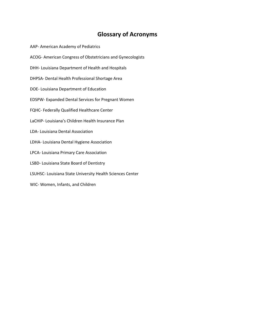## **Glossary of Acronyms**

AAP- American Academy of Pediatrics ACOG- American Congress of Obstetricians and Gynecologists DHH- Louisiana Department of Health and Hospitals DHPSA- Dental Health Professional Shortage Area DOE- Louisiana Department of Education EDSPW- Expanded Dental Services for Pregnant Women FQHC- Federally Qualified Healthcare Center LaCHIP- Louisiana's Children Health Insurance Plan LDA- Louisiana Dental Association LDHA- Louisiana Dental Hygiene Association LPCA- Louisiana Primary Care Association LSBD- Louisiana State Board of Dentistry LSUHSC- Louisiana State University Health Sciences Center WIC- Women, Infants, and Children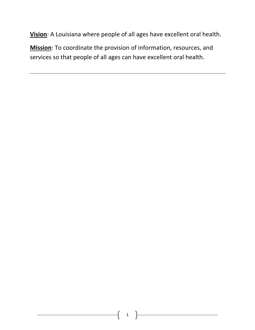**Vision**: A Louisiana where people of all ages have excellent oral health.

**Mission**: To coordinate the provision of information, resources, and services so that people of all ages can have excellent oral health.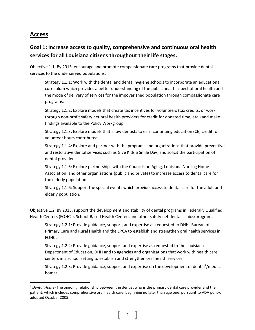## **Access**

 $\overline{\phantom{a}}$ 

## **Goal 1: Increase access to quality, comprehensive and continuous oral health services for all Louisiana citizens throughout their life stages.**

Objective 1.1: By 2013, encourage and promote compassionate care programs that provide dental services to the underserved populations.

Strategy 1.1.1: Work with the dental and dental hygiene schools to incorporate an educational curriculum which provides a better understanding of the public health aspect of oral health and the mode of delivery of services for the impoverished population through compassionate care programs.

Strategy 1.1.2: Explore models that create tax incentives for volunteers (tax credits, or work through non-profit safety net oral health providers for credit for donated time, etc.) and make findings available to the Policy Workgroup.

Strategy 1.1.3: Explore models that allow dentists to earn continuing education (CE) credit for volunteer hours contributed.

Strategy 1.1.4: Explore and partner with the programs and organizations that provide preventive and restorative dental services such as Give Kids a Smile Day, and solicit the participation of dental providers.

Strategy 1.1.5: Explore partnerships with the Councils on Aging, Louisiana Nursing Home Association, and other organizations (public and private) to increase access to dental care for the elderly population.

Strategy 1.1.6: Support the special events which provide access to dental care for the adult and elderly population.

Objective 1.2: By 2013, support the development and stability of dental programs in Federally Qualified Health Centers (FQHCs), School-Based Health Centers and other safety net dental clinics/programs.

Strategy 1.2.1: Provide guidance, support, and expertise as requested to DHH -Bureau of Primary Care and Rural Health and the LPCA to establish and strengthen oral health services in FQHCs.

Strategy 1.2.2: Provide guidance, support and expertise as requested to the Louisiana Department of Education, DHH and to agencies and organizations that work with health care centers in a school setting to establish and strengthen oral health services.

Strategy 1.2.3: Provide guidance, support and expertise on the development of dental<sup>1</sup>/medical homes.

2

<sup>&</sup>lt;sup>1</sup> Dental Home- The ongoing relationship between the dentist who is the primary dental care provider and the patient, which includes comprehensive oral health care, beginning no later than age one, pursuant to ADA policy, adopted October 2005.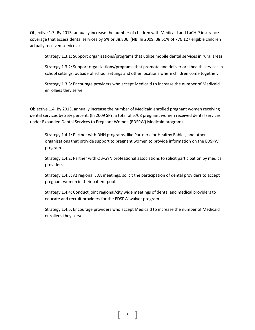Objective 1.3: By 2013, annually increase the number of children with Medicaid and LaCHIP insurance coverage that access dental services by 5% or 38,806. (NB: In 2009, 38.51% of 776,127 eligible children actually received services.)

Strategy 1.3.1: Support organizations/programs that utilize mobile dental services in rural areas.

Strategy 1.3.2: Support organizations/programs that promote and deliver oral health services in school settings, outside of school settings and other locations where children come together.

Strategy 1.3.3: Encourage providers who accept Medicaid to increase the number of Medicaid enrollees they serve.

Objective 1.4: By 2013, annually increase the number of Medicaid enrolled pregnant women receiving dental services by 25% percent. (In 2009 SFY, a total of 5708 pregnant women received dental services under Expanded Dental Services to Pregnant Women (EDSPW) Medicaid program).

Strategy 1.4.1: Partner with DHH programs, like Partners for Healthy Babies, and other organizations that provide support to pregnant women to provide information on the EDSPW program.

Strategy 1.4.2: Partner with OB-GYN professional associations to solicit participation by medical providers.

Strategy 1.4.3: At regional LDA meetings, solicit the participation of dental providers to accept pregnant women in their patient pool.

Strategy 1.4.4: Conduct joint regional/city wide meetings of dental and medical providers to educate and recruit providers for the EDSPW waiver program.

Strategy 1.4.5: Encourage providers who accept Medicaid to increase the number of Medicaid enrollees they serve.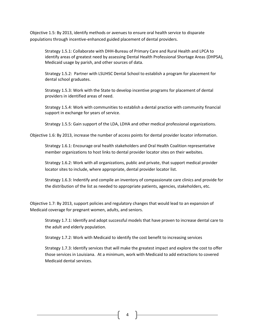Objective 1.5: By 2013, identify methods or avenues to ensure oral health service to disparate populations through incentive-enhanced guided placement of dental providers.

Strategy 1.5.1: Collaborate with DHH-Bureau of Primary Care and Rural Health and LPCA to identify areas of greatest need by assessing Dental Health Professional Shortage Areas (DHPSA), Medicaid usage by parish, and other sources of data.

Strategy 1.5.2: Partner with LSUHSC Dental School to establish a program for placement for dental school graduates.

Strategy 1.5.3: Work with the State to develop incentive programs for placement of dental providers in identified areas of need.

Strategy 1.5.4: Work with communities to establish a dental practice with community financial support in exchange for years of service.

Strategy 1.5.5: Gain support of the LDA, LDHA and other medical professional organizations.

Objective 1.6: By 2013, increase the number of access points for dental provider locator information.

Strategy 1.6.1: Encourage oral health stakeholders and Oral Health Coalition representative member organizations to host links to dental provider locator sites on their websites.

Strategy 1.6.2: Work with all organizations, public and private, that support medical provider locator sites to include, where appropriate, dental provider locator list.

Strategy 1.6.3: Indentify and compile an inventory of compassionate care clinics and provide for the distribution of the list as needed to appropriate patients, agencies, stakeholders, etc.

Objective 1.7: By 2013, support policies and regulatory changes that would lead to an expansion of Medicaid coverage for pregnant women, adults, and seniors.

Strategy 1.7.1: Identify and adopt successful models that have proven to increase dental care to the adult and elderly population.

Strategy 1.7.2: Work with Medicaid to identify the cost benefit to increasing services

Strategy 1.7.3: Identify services that will make the greatest impact and explore the cost to offer those services in Louisiana. At a minimum, work with Medicaid to add extractions to covered Medicaid dental services.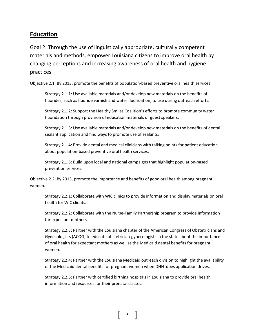## **Education**

Goal 2: Through the use of linguistically appropriate, culturally competent materials and methods, empower Louisiana citizens to improve oral health by changing perceptions and increasing awareness of oral health and hygiene practices.

Objective 2.1: By 2013, promote the benefits of population-based preventive oral health services.

Strategy 2.1.1: Use available materials and/or develop new materials on the benefits of fluorides, such as fluoride varnish and water fluoridation, to use during outreach efforts.

Strategy 2.1.2: Support the Healthy Smiles Coalition's efforts to promote community water fluoridation through provision of education materials or guest speakers.

Strategy 2.1.3: Use available materials and/or develop new materials on the benefits of dental sealant application and find ways to promote use of sealants.

Strategy 2.1.4: Provide dental and medical clinicians with talking points for patient education about population-based preventive oral health services.

Strategy 2.1.5: Build upon local and national campaigns that highlight population-based prevention services.

Objective 2.2: By 2013, promote the importance and benefits of good oral health among pregnant women.

Strategy 2.2.1: Collaborate with WIC clinics to provide information and display materials on oral health for WIC clients.

Strategy 2.2.2: Collaborate with the Nurse-Family Partnership program to provide information for expectant mothers.

Strategy 2.2.3: Partner with the Louisiana chapter of the American Congress of Obstetricians and Gynecologists (ACOG) to educate obstetrician-gynecologists in the state about the importance of oral health for expectant mothers as well as the Medicaid dental benefits for pregnant women.

Strategy 2.2.4: Partner with the Louisiana Medicaid outreach division to highlight the availability of the Medicaid dental benefits for pregnant women when DHH does application drives.

Strategy 2.2.5: Partner with certified birthing hospitals in Louisiana to provide oral health information and resources for their prenatal classes.

5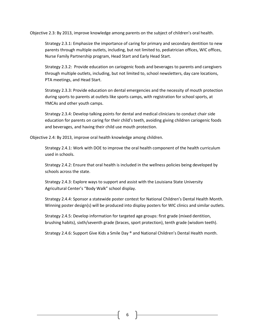Objective 2.3: By 2013, improve knowledge among parents on the subject of children's oral health.

Strategy 2.3.1: Emphasize the importance of caring for primary and secondary dentition to new parents through multiple outlets, including, but not limited to, pediatrician offices, WIC offices, Nurse Family Partnership program, Head Start and Early Head Start.

Strategy 2.3.2: Provide education on cariogenic foods and beverages to parents and caregivers through multiple outlets, including, but not limited to, school newsletters, day care locations, PTA meetings, and Head Start.

Strategy 2.3.3: Provide education on dental emergencies and the necessity of mouth protection during sports to parents at outlets like sports camps, with registration for school sports, at YMCAs and other youth camps.

Strategy 2.3.4: Develop talking points for dental and medical clinicians to conduct chair side education for parents on caring for their child's teeth, avoiding giving children cariogenic foods and beverages, and having their child use mouth protection.

Objective 2.4: By 2013, improve oral health knowledge among children.

Strategy 2.4.1: Work with DOE to improve the oral health component of the health curriculum used in schools.

Strategy 2.4.2: Ensure that oral health is included in the wellness policies being developed by schools across the state.

Strategy 2.4.3: Explore ways to support and assist with the Louisiana State University Agricultural Center's "Body Walk" school display.

Strategy 2.4.4: Sponsor a statewide poster contest for National Children's Dental Health Month. Winning poster design(s) will be produced into display posters for WIC clinics and similar outlets.

Strategy 2.4.5: Develop information for targeted age groups: first grade (mixed dentition, brushing habits), sixth/seventh grade (braces, sport protection), tenth grade (wisdom teeth).

Strategy 2.4.6: Support Give Kids a Smile Day ® and National Children's Dental Health month.

6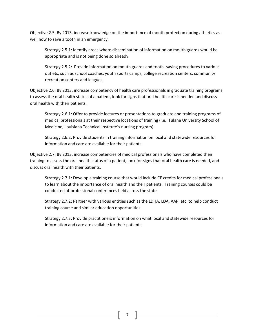Objective 2.5: By 2013, increase knowledge on the importance of mouth protection during athletics as well how to save a tooth in an emergency.

Strategy 2.5.1: Identify areas where dissemination of information on mouth guards would be appropriate and is not being done so already.

Strategy 2.5.2: Provide information on mouth guards and tooth- saving procedures to various outlets, such as school coaches, youth sports camps, college recreation centers, community recreation centers and leagues.

Objective 2.6: By 2013, increase competency of health care professionals in graduate training programs to assess the oral health status of a patient, look for signs that oral health care is needed and discuss oral health with their patients.

Strategy 2.6.1: Offer to provide lectures or presentations to graduate and training programs of medical professionals at their respective locations of training (i.e., Tulane University School of Medicine, Louisiana Technical Institute's nursing program).

Strategy 2.6.2: Provide students in training information on local and statewide resources for information and care are available for their patients.

Objective 2.7: By 2013, increase competencies of medical professionals who have completed their training to assess the oral health status of a patient, look for signs that oral health care is needed, and discuss oral health with their patients.

Strategy 2.7.1: Develop a training course that would include CE credits for medical professionals to learn about the importance of oral health and their patients. Training courses could be conducted at professional conferences held across the state.

Strategy 2.7.2: Partner with various entities such as the LDHA, LDA, AAP, etc. to help conduct training course and similar education opportunities.

Strategy 2.7.3: Provide practitioners information on what local and statewide resources for information and care are available for their patients.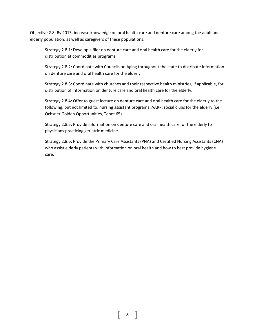Objective 2.8: By 2013, increase knowledge on oral health care and denture care among the adult and elderly population, as well as caregivers of these populations.

Strategy 2.8.1: Develop a flier on denture care and oral health care for the elderly for distribution at commodities programs.

Strategy 2.8.2: Coordinate with Councils on Aging throughout the state to distribute information on denture care and oral health care for the elderly.

Strategy 2.8.3: Coordinate with churches and their respective health ministries, if applicable, for distribution of information on denture care and oral health care for the elderly.

Strategy 2.8.4: Offer to guest lecture on denture care and oral health care for the elderly to the following, but not limited to, nursing assistant programs, AARP, social clubs for the elderly (i.e., Ochsner Golden Opportunities, Tenet 65).

Strategy 2.8.5: Provide information on denture care and oral health care for the elderly to physicians practicing geriatric medicine.

Strategy 2.8.6: Provide the Primary Care Assistants (PNA) and Certified Nursing Assistants (CNA) who assist elderly patients with information on oral health and how to best provide hygiene care.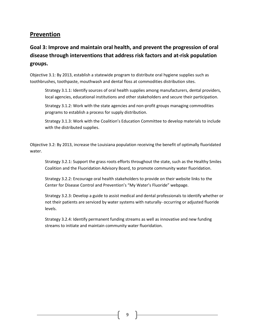#### **Prevention**

## **Goal 3: Improve and maintain oral health, and prevent the progression of oral disease through interventions that address risk factors and at-risk population groups.**

Objective 3.1: By 2013, establish a statewide program to distribute oral hygiene supplies such as toothbrushes, toothpaste, mouthwash and dental floss at commodities distribution sites.

Strategy 3.1.1: Identify sources of oral health supplies among manufacturers, dental providers, local agencies, educational institutions and other stakeholders and secure their participation.

Strategy 3.1.2: Work with the state agencies and non-profit groups managing commodities programs to establish a process for supply distribution.

Strategy 3.1.3: Work with the Coalition's Education Committee to develop materials to include with the distributed supplies.

Objective 3.2: By 2013, increase the Louisiana population receiving the benefit of optimally fluoridated water.

Strategy 3.2.1: Support the grass roots efforts throughout the state, such as the Healthy Smiles Coalition and the Fluoridation Advisory Board, to promote community water fluoridation.

Strategy 3.2.2: Encourage oral health stakeholders to provide on their website links to the Center for Disease Control and Prevention's "My Water's Fluoride" webpage.

Strategy 3.2.3: Develop a guide to assist medical and dental professionals to identify whether or not their patients are serviced by water systems with naturally- occurring or adjusted fluoride levels.

Strategy 3.2.4: Identify permanent funding streams as well as innovative and new funding streams to initiate and maintain community water fluoridation.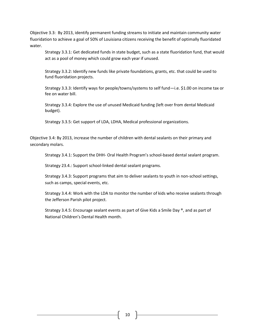Objective 3.3:By 2013, identify permanent funding streams to initiate and maintain community water fluoridation to achieve a goal of 50% of Louisiana citizens receiving the benefit of optimally fluoridated water.

Strategy 3.3.1: Get dedicated funds in state budget, such as a state fluoridation fund, that would act as a pool of money which could grow each year if unused.

Strategy 3.3.2: Identify new funds like private foundations, grants, etc. that could be used to fund fluoridation projects.

Strategy 3.3.3: Identify ways for people/towns/systems to self fund—i.e. \$1.00 on income tax or fee on water bill.

Strategy 3.3.4: Explore the use of unused Medicaid funding (left over from dental Medicaid budget).

Strategy 3.3.5: Get support of LDA, LDHA, Medical professional organizations.

Objective 3.4: By 2013, increase the number of children with dental sealants on their primary and secondary molars.

Strategy 3.4.1: Support the DHH- Oral Health Program's school-based dental sealant program.

Strategy 23.4.: Support school-linked dental sealant programs.

Strategy 3.4.3: Support programs that aim to deliver sealants to youth in non-school settings, such as camps, special events, etc.

Strategy 3.4.4: Work with the LDA to monitor the number of kids who receive sealants through the Jefferson Parish pilot project.

Strategy 3.4.5: Encourage sealant events as part of Give Kids a Smile Day ®, and as part of National Children's Dental Health month.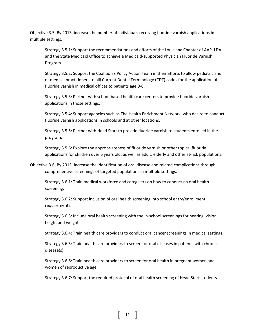Objective 3.5: By 2013, increase the number of individuals receiving fluoride varnish applications in multiple settings.

Strategy 3.5.1: Support the recommendations and efforts of the Louisiana Chapter of AAP, LDA and the State Medicaid Office to achieve a Medicaid-supported Physician Fluoride Varnish Program.

Strategy 3.5.2: Support the Coalition's Policy Action Team in their efforts to allow pediatricians or medical practitioners to bill Current Dental Terminology (CDT) codes for the application of fluoride varnish in medical offices to patients age 0-6.

Strategy 3.5.3: Partner with school-based health care centers to provide fluoride varnish applications in those settings.

Strategy 3.5.4: Support agencies such as The Health Enrichment Network, who desire to conduct fluoride varnish applications in schools and at other locations.

Strategy 3.5.5: Partner with Head Start to provide fluoride varnish to students enrolled in the program.

Strategy 3.5.6: Explore the appropriateness of fluoride varnish or other topical fluoride applications for children over 6 years old, as well as adult, elderly and other at-risk populations.

Objective 3.6: By 2013, increase the identification of oral disease and related complications through comprehensive screenings of targeted populations in multiple settings.

Strategy 3.6.1: Train medical workforce and caregivers on how to conduct an oral health screening.

Strategy 3.6.2: Support inclusion of oral health screening into school entry/enrollment requirements.

Strategy 3.6.3: Include oral health screening with the in-school screenings for hearing, vision, height and weight.

Strategy 3.6.4: Train health care providers to conduct oral cancer screenings in medical settings.

Strategy 3.6.5: Train health care providers to screen for oral diseases in patients with chronic disease(s).

Strategy 3.6.6: Train health care providers to screen for oral health in pregnant women and women of reproductive age.

Strategy 3.6.7: Support the required protocol of oral health screening of Head Start students.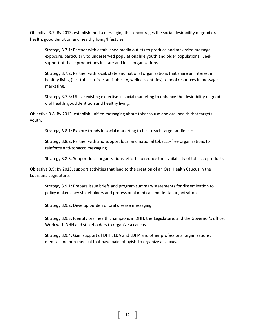Objective 3.7: By 2013, establish media messaging that encourages the social desirability of good oral health, good dentition and healthy living/lifestyles.

Strategy 3.7.1: Partner with established media outlets to produce and maximize message exposure, particularly to underserved populations like youth and older populations. Seek support of these productions in state and local organizations.

Strategy 3.7.2: Partner with local, state and national organizations that share an interest in healthy living (i.e., tobacco-free, anti-obesity, wellness entities) to pool resources in message marketing.

Strategy 3.7.3: Utilize existing expertise in social marketing to enhance the desirability of good oral health, good dentition and healthy living.

Objective 3.8: By 2013, establish unified messaging about tobacco use and oral health that targets youth.

Strategy 3.8.1: Explore trends in social marketing to best reach target audiences.

Strategy 3.8.2: Partner with and support local and national tobacco-free organizations to reinforce anti-tobacco messaging.

Strategy 3.8.3: Support local organizations' efforts to reduce the availability of tobacco products.

Objective 3.9**:** By 2013, support activities that lead to the creation of an Oral Health Caucus in the Louisiana Legislature.

Strategy 3.9.1: Prepare issue briefs and program summary statements for dissemination to policy makers, key stakeholders and professional medical and dental organizations.

Strategy 3.9.2: Develop burden of oral disease messaging.

Strategy 3.9.3: Identify oral health champions in DHH, the Legislature, and the Governor's office. Work with DHH and stakeholders to organize a caucus.

Strategy 3.9.4: Gain support of DHH, LDA and LDHA and other professional organizations, medical and non-medical that have paid lobbyists to organize a caucus.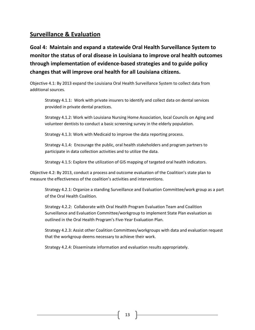## **Surveillance & Evaluation**

**Goal 4: Maintain and expand a statewide Oral Health Surveillance System to monitor the status of oral disease in Louisiana to improve oral health outcomes through implementation of evidence-based strategies and to guide policy changes that will improve oral health for all Louisiana citizens.** 

Objective 4.1: By 2013 expand the Louisiana Oral Health Surveillance System to collect data from additional sources.

Strategy 4.1.1: Work with private insurers to identify and collect data on dental services provided in private dental practices.

Strategy 4.1.2: Work with Louisiana Nursing Home Association, local Councils on Aging and volunteer dentists to conduct a basic screening survey in the elderly population.

Strategy 4.1.3: Work with Medicaid to improve the data reporting process.

Strategy 4.1.4: Encourage the public, oral health stakeholders and program partners to participate in data collection activities and to utilize the data.

Strategy 4.1.5: Explore the utilization of GIS mapping of targeted oral health indicators.

Objective 4.2: By 2013, conduct a process and outcome evaluation of the Coalition's state plan to measure the effectiveness of the coalition's activities and interventions.

Strategy 4.2.1: Organize a standing Surveillance and Evaluation Committee/work group as a part of the Oral Health Coalition.

Strategy 4.2.2: Collaborate with Oral Health Program Evaluation Team and Coalition Surveillance and Evaluation Committee/workgroup to implement State Plan evaluation as outlined in the Oral Health Program's Five-Year Evaluation Plan.

Strategy 4.2.3: Assist other Coalition Committees/workgroups with data and evaluation request that the workgroup deems necessary to achieve their work.

Strategy 4.2.4: Disseminate information and evaluation results appropriately.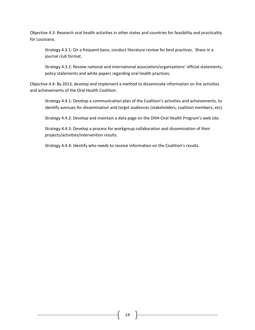Objective 4.3: Research oral health activities in other states and countries for feasibility and practicality for Louisiana.

Strategy 4.3.1: On a frequent basis, conduct literature review for best practices. Share in a journal club format.

Strategy 4.3.2: Review national and international association/organizations' official statements, policy statements and white papers regarding oral health practices.

Objective 4.4: By 2013, develop and implement a method to disseminate information on the activities and achievements of the Oral Health Coalition.

Strategy 4.4.1: Develop a communication plan of the Coalition's activities and achievements, to identify avenues for dissemination and target audiences (stakeholders, coalition members, etc).

Strategy 4.4.2: Develop and maintain a data page on the DHH-Oral Health Program's web site.

Strategy 4.4.3: Develop a process for workgroup collaboration and dissemination of their projects/activities/intervention results.

Strategy 4.4.4: Identify who needs to receive information on the Coalition's results.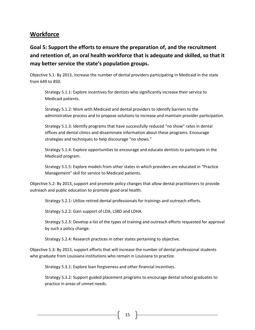## **Workforce**

**Goal 5: Support the efforts to ensure the preparation of, and the recruitment and retention of, an oral health workforce that is adequate and skilled, so that it may better service the state's population groups.**

Objective 5.1: By 2013, increase the number of dental providers participating in Medicaid in the state from 649 to 850.

Strategy 5.1.1: Explore incentives for dentists who significantly increase their service to Medicaid patients.

Strategy 5.1.2: Work with Medicaid and dental providers to identify barriers to the administrative process and to propose solutions to increase and maintain provider participation.

Strategy 5.1.3: Identify programs that have successfully reduced "no show" rates in dental offices and dental clinics and disseminate information about these programs. Encourage strategies and techniques to help discourage "no shows."

Strategy 5.1.4: Explore opportunities to encourage and educate dentists to participate in the Medicaid program.

Strategy 5.1.5: Explore models from other states in which providers are educated in "Practice Management" skill for service to Medicaid patients.

Objective 5.2: By 2013, support and promote policy changes that allow dental practitioners to provide outreach and public education to promote good oral health.

Strategy 5.2.1: Utilize retired dental professionals for trainings and outreach efforts.

Strategy 5.2.2: Gain support of LDA, LSBD and LDHA.

Strategy 5.2.3: Develop a list of the types of training and outreach efforts requested for approval by such a policy change.

Strategy 5.2.4: Research practices in other states pertaining to objective.

Objective 5.3: By 2013, support efforts that will increase the number of dental professional students who graduate from Louisiana institutions who remain in Louisiana to practice.

Strategy 5.3.1: Explore loan forgiveness and other financial incentives.

Strategy 5.3.2: Support guided placement programs to encourage dental school graduates to practice in areas of unmet needs.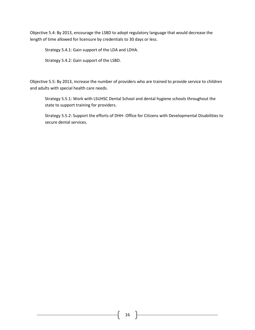Objective 5.4: By 2013, encourage the LSBD to adopt regulatory language that would decrease the length of time allowed for licensure by credentials to 30 days or less.

Strategy 5.4.1: Gain support of the LDA and LDHA.

Strategy 5.4.2: Gain support of the LSBD.

Objective 5.5: By 2013, increase the number of providers who are trained to provide service to children and adults with special health care needs.

Strategy 5.5.1: Work with LSUHSC Dental School and dental hygiene schools throughout the state to support training for providers.

Strategy 5.5.2: Support the efforts of DHH- Office for Citizens with Developmental Disabilities to secure dental services.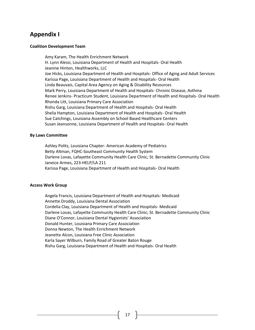## **Appendix I**

#### **Coalition Development Team**

Amy Karam, The Health Enrichment Network H. Lynn Alessi, Louisiana Department of Health and Hospitals- Oral Health Jeanine Hinton, Healthworks, LLC Joe Hicks, Louisiana Department of Health and Hospitals- Office of Aging and Adult Services Karissa Page, Louisiana Department of Health and Hospitals- Oral Health Linda Beauvais, Capital Area Agency on Aging & Disability Resources Mark Perry, Louisiana Department of Health and Hospitals- Chronic Disease, Asthma Renee Jenkins- Practicum Student, Louisiana Department of Health and Hospitals- Oral Health Rhonda Litt, Louisiana Primary Care Association Rishu Garg, Louisiana Department of Health and Hospitals- Oral Health Shelia Hampton, Louisiana Department of Health and Hospitals- Oral Health Sue Catchings, Louisiana Assembly on School Based Healthcare Centers Susan Jeansonne, Louisiana Department of Health and Hospitals- Oral Health

#### **By Laws Committee**

Ashley Politz, Louisiana Chapter- American Academy of Pediatrics Betty Altman, FQHC-Southeast Community Health System Darlene Lovas, Lafayette Community Health Care Clinic; St. Bernadette Community Clinic Janeice Armes, 223-HELP/LA 211 Karissa Page, Louisiana Department of Health and Hospitals- Oral Health

#### **Access Work Group**

Angela Francis, Louisiana Department of Health and Hospitals- Medicaid Annette Droddy, Louisiana Dental Association Cordelia Clay, Louisiana Department of Health and Hospitals- Medicaid Darlene Lovas, Lafayette Community Health Care Clinic; St. Bernadette Community Clinic Diane O'Connor, Louisiana Dental Hygienists' Association Donald Hunter, Louisiana Primary Care Association Donna Newton, The Health Enrichment Network Jeanette Alcon, Louisiana Free Clinic Association Karla Sayer Wilburn, Family Road of Greater Baton Rouge Rishu Garg, Louisiana Department of Health and Hospitals- Oral Health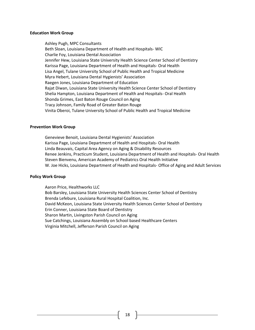#### **Education Work Group**

Ashley Pugh, MPC Consultants Beth Sloan, Louisiana Department of Health and Hospitals- WIC Charlie Foy, Louisiana Dental Association Jennifer Hew, Louisiana State University Health Science Center School of Dentistry Karissa Page, Louisiana Department of Health and Hospitals- Oral Health Lisa Angel, Tulane University School of Public Health and Tropical Medicine Myra Hebert, Louisiana Dental Hygienists' Association Raegen Jones, Louisiana Department of Education Rajat Diwan, Louisiana State University Health Science Center School of Dentistry Shelia Hampton, Louisiana Department of Health and Hospitals- Oral Health Shonda Grimes, East Baton Rouge Council on Aging Tracy Johnson, Family Road of Greater Baton Rouge Vinita Oberoi, Tulane University School of Public Health and Tropical Medicine

#### **Prevention Work Group**

Genevieve Benoit, Louisiana Dental Hygienists' Association Karissa Page, Louisiana Department of Health and Hospitals- Oral Health Linda Beauvais, Capital Area Agency on Aging & Disability Resources Renee Jenkins, Practicum Student, Louisiana Department of Health and Hospitals- Oral Health Steven Bienvenu, American Academy of Pediatrics Oral Health Initiative W. Joe Hicks, Louisiana Department of Health and Hospitals- Office of Aging and Adult Services

#### **Policy Work Group**

Aaron Price, Healthworks LLC Bob Barsley, Louisiana State University Health Sciences Center School of Dentistry Brenda Lefebure, Louisiana Rural Hospital Coalition, Inc. David McKeon, Louisiana State University Health Sciences Center School of Dentistry Erin Conner, Louisiana State Board of Dentistry Sharon Martin, Livingston Parish Council on Aging Sue Catchings, Louisiana Assembly on School based Healthcare Centers Virginia Mitchell, Jefferson Parish Council on Aging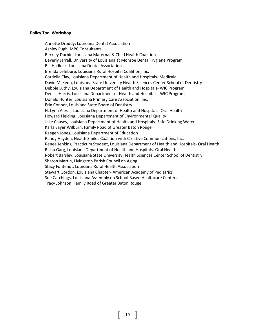#### **Policy Tool Workshop**

Annette Droddy, Louisiana Dental Association Ashley Pugh, MPC Consultants Berkley Durbin, Louisiana Maternal & Child Health Coalition Beverly Jarrell, University of Louisiana at Monroe Dental Hygiene Program Bill Hadlock, Louisiana Dental Association Brenda Lefebure, Louisiana Rural Hospital Coalition, Inc. Cordelia Clay, Louisiana Department of Health and Hospitals- Medicaid David McKeon, Louisiana State University Health Sciences Center School of Dentistry Debbie Luthy, Louisiana Department of Health and Hospitals- WIC Program Denise Harris, Louisiana Department of Health and Hospitals- WIC Program Donald Hunter, Louisiana Primary Care Association, Inc. Erin Conner, Louisiana State Board of Dentistry H. Lynn Alessi, Louisiana Department of Health and Hospitals- Oral Health Howard Fielding, Louisiana Department of Environmental Quality Jake Causey, Louisiana Department of Health and Hospitals- Safe Drinking Water Karla Sayer Wilburn, Family Road of Greater Baton Rouge Raegen Jones, Louisiana Department of Education Randy Hayden, Health Smiles Coalition with Creative Communications, Inc. Renee Jenkins, Practicum Student, Louisiana Department of Health and Hospitals- Oral Health Rishu Garg, Louisiana Department of Health and Hospitals- Oral Health Robert Barsley, Louisiana State University Health Sciences Center School of Dentistry Sharon Martin, Livingston Parish Council on Aging Stacy Fontenot, Louisiana Rural Health Association Stewart Gordon, Louisiana Chapter- American Academy of Pediatrics Sue Catchings, Louisiana Assembly on School Based Healthcare Centers Tracy Johnson, Family Road of Greater Baton Rouge